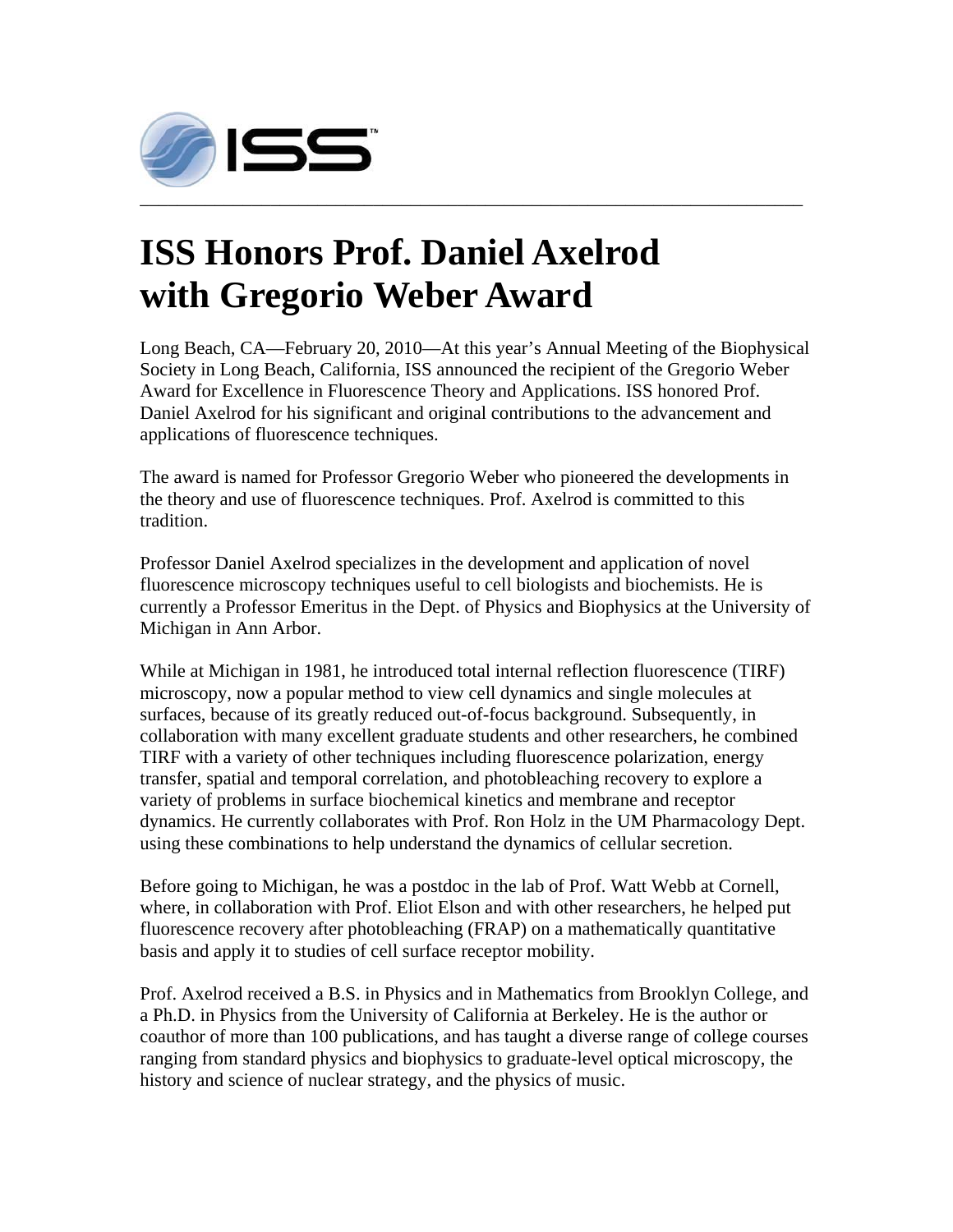

## **ISS Honors Prof. Daniel Axelrod with Gregorio Weber Award**

Long Beach, CA—February 20, 2010—At this year's Annual Meeting of the Biophysical Society in Long Beach, California, ISS announced the recipient of the Gregorio Weber Award for Excellence in Fluorescence Theory and Applications. ISS honored Prof. Daniel Axelrod for his significant and original contributions to the advancement and applications of fluorescence techniques.

The award is named for Professor Gregorio Weber who pioneered the developments in the theory and use of fluorescence techniques. Prof. Axelrod is committed to this tradition.

Professor Daniel Axelrod specializes in the development and application of novel fluorescence microscopy techniques useful to cell biologists and biochemists. He is currently a Professor Emeritus in the Dept. of Physics and Biophysics at the University of Michigan in Ann Arbor.

While at Michigan in 1981, he introduced total internal reflection fluorescence (TIRF) microscopy, now a popular method to view cell dynamics and single molecules at surfaces, because of its greatly reduced out-of-focus background. Subsequently, in collaboration with many excellent graduate students and other researchers, he combined TIRF with a variety of other techniques including fluorescence polarization, energy transfer, spatial and temporal correlation, and photobleaching recovery to explore a variety of problems in surface biochemical kinetics and membrane and receptor dynamics. He currently collaborates with Prof. Ron Holz in the UM Pharmacology Dept. using these combinations to help understand the dynamics of cellular secretion.

Before going to Michigan, he was a postdoc in the lab of Prof. Watt Webb at Cornell, where, in collaboration with Prof. Eliot Elson and with other researchers, he helped put fluorescence recovery after photobleaching (FRAP) on a mathematically quantitative basis and apply it to studies of cell surface receptor mobility.

Prof. Axelrod received a B.S. in Physics and in Mathematics from Brooklyn College, and a Ph.D. in Physics from the University of California at Berkeley. He is the author or coauthor of more than 100 publications, and has taught a diverse range of college courses ranging from standard physics and biophysics to graduate-level optical microscopy, the history and science of nuclear strategy, and the physics of music.